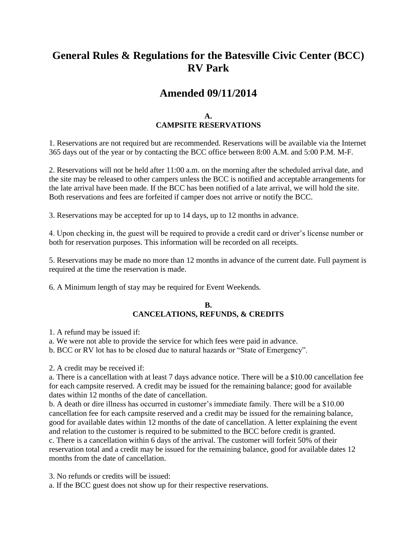## **General Rules & Regulations for the Batesville Civic Center (BCC) RV Park**

## **Amended 09/11/2014**

## **A. CAMPSITE RESERVATIONS**

1. Reservations are not required but are recommended. Reservations will be available via the Internet 365 days out of the year or by contacting the BCC office between 8:00 A.M. and 5:00 P.M. M-F.

2. Reservations will not be held after 11:00 a.m. on the morning after the scheduled arrival date, and the site may be released to other campers unless the BCC is notified and acceptable arrangements for the late arrival have been made. If the BCC has been notified of a late arrival, we will hold the site. Both reservations and fees are forfeited if camper does not arrive or notify the BCC.

3. Reservations may be accepted for up to 14 days, up to 12 months in advance.

4. Upon checking in, the guest will be required to provide a credit card or driver's license number or both for reservation purposes. This information will be recorded on all receipts.

5. Reservations may be made no more than 12 months in advance of the current date. Full payment is required at the time the reservation is made.

6. A Minimum length of stay may be required for Event Weekends.

#### **B. CANCELATIONS, REFUNDS, & CREDITS**

1. A refund may be issued if:

a. We were not able to provide the service for which fees were paid in advance.

b. BCC or RV lot has to be closed due to natural hazards or "State of Emergency".

2. A credit may be received if:

a. There is a cancellation with at least 7 days advance notice. There will be a \$10.00 cancellation fee for each campsite reserved. A credit may be issued for the remaining balance; good for available dates within 12 months of the date of cancellation.

b. A death or dire illness has occurred in customer's immediate family. There will be a \$10.00 cancellation fee for each campsite reserved and a credit may be issued for the remaining balance, good for available dates within 12 months of the date of cancellation. A letter explaining the event and relation to the customer is required to be submitted to the BCC before credit is granted. c. There is a cancellation within 6 days of the arrival. The customer will forfeit 50% of their reservation total and a credit may be issued for the remaining balance, good for available dates 12 months from the date of cancellation.

3. No refunds or credits will be issued:

a. If the BCC guest does not show up for their respective reservations.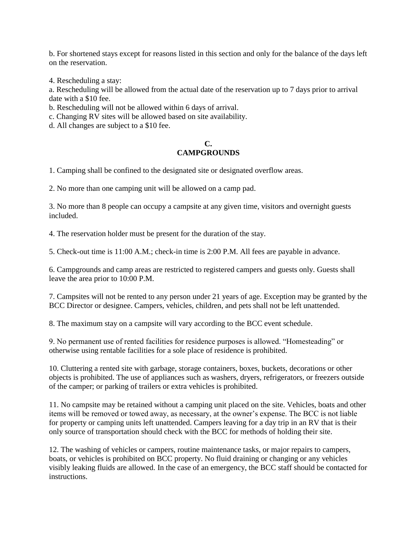b. For shortened stays except for reasons listed in this section and only for the balance of the days left on the reservation.

4. Rescheduling a stay:

a. Rescheduling will be allowed from the actual date of the reservation up to 7 days prior to arrival date with a \$10 fee.

b. Rescheduling will not be allowed within 6 days of arrival.

c. Changing RV sites will be allowed based on site availability.

d. All changes are subject to a \$10 fee.

## **C. CAMPGROUNDS**

1. Camping shall be confined to the designated site or designated overflow areas.

2. No more than one camping unit will be allowed on a camp pad.

3. No more than 8 people can occupy a campsite at any given time, visitors and overnight guests included.

4. The reservation holder must be present for the duration of the stay.

5. Check-out time is 11:00 A.M.; check-in time is 2:00 P.M. All fees are payable in advance.

6. Campgrounds and camp areas are restricted to registered campers and guests only. Guests shall leave the area prior to 10:00 P.M.

7. Campsites will not be rented to any person under 21 years of age. Exception may be granted by the BCC Director or designee. Campers, vehicles, children, and pets shall not be left unattended.

8. The maximum stay on a campsite will vary according to the BCC event schedule.

9. No permanent use of rented facilities for residence purposes is allowed. "Homesteading" or otherwise using rentable facilities for a sole place of residence is prohibited.

10. Cluttering a rented site with garbage, storage containers, boxes, buckets, decorations or other objects is prohibited. The use of appliances such as washers, dryers, refrigerators, or freezers outside of the camper; or parking of trailers or extra vehicles is prohibited.

11. No campsite may be retained without a camping unit placed on the site. Vehicles, boats and other items will be removed or towed away, as necessary, at the owner's expense. The BCC is not liable for property or camping units left unattended. Campers leaving for a day trip in an RV that is their only source of transportation should check with the BCC for methods of holding their site.

12. The washing of vehicles or campers, routine maintenance tasks, or major repairs to campers, boats, or vehicles is prohibited on BCC property. No fluid draining or changing or any vehicles visibly leaking fluids are allowed. In the case of an emergency, the BCC staff should be contacted for instructions.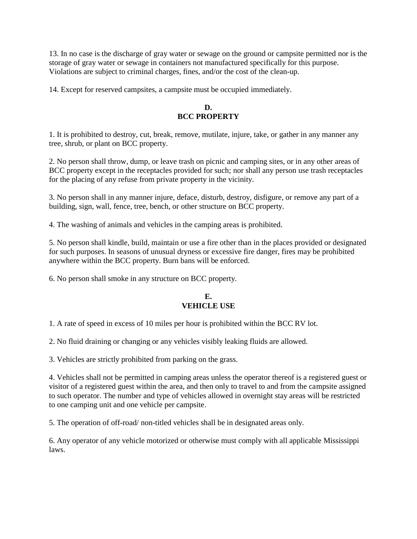13. In no case is the discharge of gray water or sewage on the ground or campsite permitted nor is the storage of gray water or sewage in containers not manufactured specifically for this purpose. Violations are subject to criminal charges, fines, and/or the cost of the clean-up.

14. Except for reserved campsites, a campsite must be occupied immediately.

#### **D. BCC PROPERTY**

1. It is prohibited to destroy, cut, break, remove, mutilate, injure, take, or gather in any manner any tree, shrub, or plant on BCC property.

2. No person shall throw, dump, or leave trash on picnic and camping sites, or in any other areas of BCC property except in the receptacles provided for such; nor shall any person use trash receptacles for the placing of any refuse from private property in the vicinity.

3. No person shall in any manner injure, deface, disturb, destroy, disfigure, or remove any part of a building, sign, wall, fence, tree, bench, or other structure on BCC property.

4. The washing of animals and vehicles in the camping areas is prohibited.

5. No person shall kindle, build, maintain or use a fire other than in the places provided or designated for such purposes. In seasons of unusual dryness or excessive fire danger, fires may be prohibited anywhere within the BCC property. Burn bans will be enforced.

6. No person shall smoke in any structure on BCC property.

### **E. VEHICLE USE**

1. A rate of speed in excess of 10 miles per hour is prohibited within the BCC RV lot.

2. No fluid draining or changing or any vehicles visibly leaking fluids are allowed.

3. Vehicles are strictly prohibited from parking on the grass.

4. Vehicles shall not be permitted in camping areas unless the operator thereof is a registered guest or visitor of a registered guest within the area, and then only to travel to and from the campsite assigned to such operator. The number and type of vehicles allowed in overnight stay areas will be restricted to one camping unit and one vehicle per campsite.

5. The operation of off-road/ non-titled vehicles shall be in designated areas only.

6. Any operator of any vehicle motorized or otherwise must comply with all applicable Mississippi laws.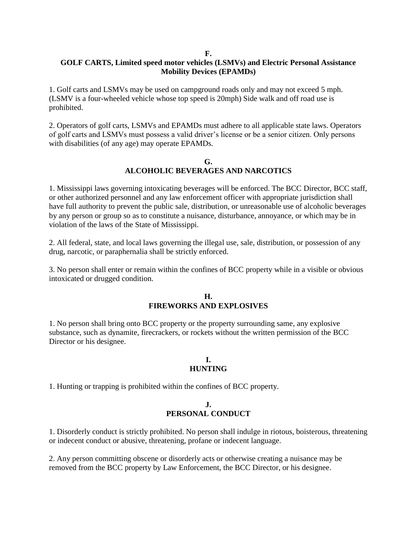#### **F.**

#### **GOLF CARTS, Limited speed motor vehicles (LSMVs) and Electric Personal Assistance Mobility Devices (EPAMDs)**

1. Golf carts and LSMVs may be used on campground roads only and may not exceed 5 mph. (LSMV is a four-wheeled vehicle whose top speed is 20mph) Side walk and off road use is prohibited.

2. Operators of golf carts, LSMVs and EPAMDs must adhere to all applicable state laws. Operators of golf carts and LSMVs must possess a valid driver's license or be a senior citizen. Only persons with disabilities (of any age) may operate EPAMDs.

#### **G. ALCOHOLIC BEVERAGES AND NARCOTICS**

1. Mississippi laws governing intoxicating beverages will be enforced. The BCC Director, BCC staff, or other authorized personnel and any law enforcement officer with appropriate jurisdiction shall have full authority to prevent the public sale, distribution, or unreasonable use of alcoholic beverages by any person or group so as to constitute a nuisance, disturbance, annoyance, or which may be in violation of the laws of the State of Mississippi.

2. All federal, state, and local laws governing the illegal use, sale, distribution, or possession of any drug, narcotic, or paraphernalia shall be strictly enforced.

3. No person shall enter or remain within the confines of BCC property while in a visible or obvious intoxicated or drugged condition.

#### **H. FIREWORKS AND EXPLOSIVES**

1. No person shall bring onto BCC property or the property surrounding same, any explosive substance, such as dynamite, firecrackers, or rockets without the written permission of the BCC Director or his designee.

#### **I. HUNTING**

1. Hunting or trapping is prohibited within the confines of BCC property.

## **J. PERSONAL CONDUCT**

1. Disorderly conduct is strictly prohibited. No person shall indulge in riotous, boisterous, threatening or indecent conduct or abusive, threatening, profane or indecent language.

2. Any person committing obscene or disorderly acts or otherwise creating a nuisance may be removed from the BCC property by Law Enforcement, the BCC Director, or his designee.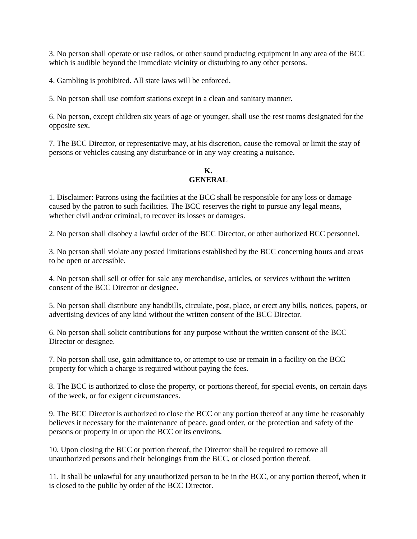3. No person shall operate or use radios, or other sound producing equipment in any area of the BCC which is audible beyond the immediate vicinity or disturbing to any other persons.

4. Gambling is prohibited. All state laws will be enforced.

5. No person shall use comfort stations except in a clean and sanitary manner.

6. No person, except children six years of age or younger, shall use the rest rooms designated for the opposite sex.

7. The BCC Director, or representative may, at his discretion, cause the removal or limit the stay of persons or vehicles causing any disturbance or in any way creating a nuisance.

### **K. GENERAL**

1. Disclaimer: Patrons using the facilities at the BCC shall be responsible for any loss or damage caused by the patron to such facilities. The BCC reserves the right to pursue any legal means, whether civil and/or criminal, to recover its losses or damages.

2. No person shall disobey a lawful order of the BCC Director, or other authorized BCC personnel.

3. No person shall violate any posted limitations established by the BCC concerning hours and areas to be open or accessible.

4. No person shall sell or offer for sale any merchandise, articles, or services without the written consent of the BCC Director or designee.

5. No person shall distribute any handbills, circulate, post, place, or erect any bills, notices, papers, or advertising devices of any kind without the written consent of the BCC Director.

6. No person shall solicit contributions for any purpose without the written consent of the BCC Director or designee.

7. No person shall use, gain admittance to, or attempt to use or remain in a facility on the BCC property for which a charge is required without paying the fees.

8. The BCC is authorized to close the property, or portions thereof, for special events, on certain days of the week, or for exigent circumstances.

9. The BCC Director is authorized to close the BCC or any portion thereof at any time he reasonably believes it necessary for the maintenance of peace, good order, or the protection and safety of the persons or property in or upon the BCC or its environs.

10. Upon closing the BCC or portion thereof, the Director shall be required to remove all unauthorized persons and their belongings from the BCC, or closed portion thereof.

11. It shall be unlawful for any unauthorized person to be in the BCC, or any portion thereof, when it is closed to the public by order of the BCC Director.